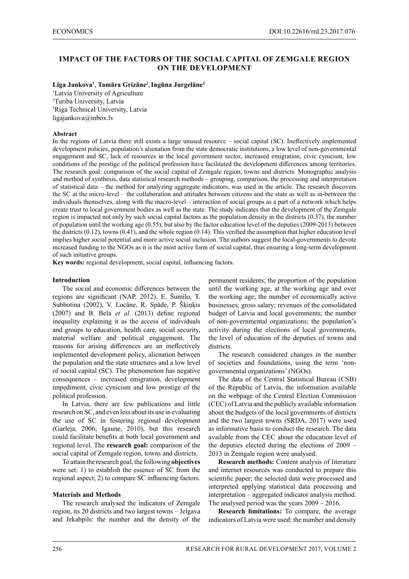# **IMPACT OF THE FACTORS OF THE SOCIAL CAPITAL OF ZEMGALE REGION ON THE DEVELOPMENT**

#### **Līga Jankova<sup>1</sup>** , **Tamāra Grizāne<sup>2</sup>** ,**Ingūna Jurgelāne<sup>3</sup>**

<sup>1</sup>Latvia University of Agriculture 2 Turiba University, Latvia 3 Riga Technical University, Latvia ligajankova@inbox.lv

#### **Abstract**

In the regions of Latvia there still exists a large unused resource – social capital (SC). Ineffectively implemented development policies, population's alienation from the state democratic institutions, a low level of non-governmental engagement and SC, lack of resources in the local government sector, increased emigration, civic cynicism, low conditions of the prestige of the political profession have facilitated the development differences among territories. The research goal: comparison of the social capital of Zemgale region, towns and districts. Monographic analysis and method of synthesis, data statistical research methods – grouping, comparison, the processing and interpretation of statistical data – the method for analyzing aggregate indicators, was used in the article. The research discovers the SC at the micro-level – the collaboration and attitudes between citizens and the state as well as in-between the individuals themselves, along with the macro-level – interaction of social groups as a part of a network which helps create trust to local government bodies as well as the state. The study indicates that the development of the Zemgale region is impacted not only by such social capital factors as the population density in the districts (0.37), the number of population until the working age (0.55), but also by the factor education level of the deputies (2009-2013) between the districts (0.12), towns (0.41), and the whole region (0.14). This verified the assumption that higher education level implies higher social potential and more active social inclusion. The authors suggest the local-governments to devote increased funding to the NGOs as it is the most active form of social capital, thus ensuring a long-term development of such initiative groups.

**Key words:** regional development, social capital, influencing factors.

#### **Introduction**

The social and economic differences between the regions are significant (NAP, 2012). E. Šumilo, T. Subbotina (2002), V. Locāne, R. Spāde, P. Šķiņķis (2007) and B. Bela *et al*. (2013) define regional inequality explaining it as the access of individuals and groups to education, health care, social security, material welfare and political engagement. The reasons for arising differences are an ineffectively implemented development policy, alienation between the population and the state structures and a low level of social capital (SC). The phenomenon has negative consequences – increased emigration, development impediment, civic cynicism and low prestige of the political profession.

In Latvia, there are few publications and little research on SC, and even less about its use in evaluating the use of SC in fostering regional development (Garleja, 2006; Igaune, 2010), but this research could facilitate benefits at both local government and regional level. The **research goal:** comparison of the social capital of Zemgale region, towns and districts.

To attain the research goal, the following **objectives** were set: 1) to establish the essence of SC from the regional aspect; 2) to compare SC influencing factors.

#### **Materials and Methods**

The research analysed the indicators of Zemgale region, its 20 districts and two largest towns – Jelgava and Jekabpils: the number and the density of the permanent residents; the proportion of the population until the working age, at the working age and over the working age; the number of economically active businesses; gross salary; revenues of the consolidated budget of Latvia and local governments; the number of non-governmental organizations; the population's activity during the elections of local governments, the level of education of the deputies of towns and districts.

The research considered changes in the number of societies and foundations, using the term 'nongovernmental organizations' (NGOs).

The data of the Central Statistical Bureau (CSB) of the Republic of Latvia, the information available on the webpage of the Central Election Commission (CEC) of Latvia and the publicly available information about the budgets of the local governments of districts and the two largest towns (SRDA, 2017) were used as informative basis to conduct the research. The data available from the CEC about the education level of the deputies elected during the elections of 2009 – 2013 in Zemgale region were analysed.

**Research methods:** Content analysis of literature and internet resources was conducted to prepare this scientific paper; the selected data were processed and interpreted applying statistical data processing and interpretation – aggregated indicator analysis method. The analysed period was the years 2009 – 2016.

**Research limitations:** To compare, the average indicators of Latvia were used: the number and density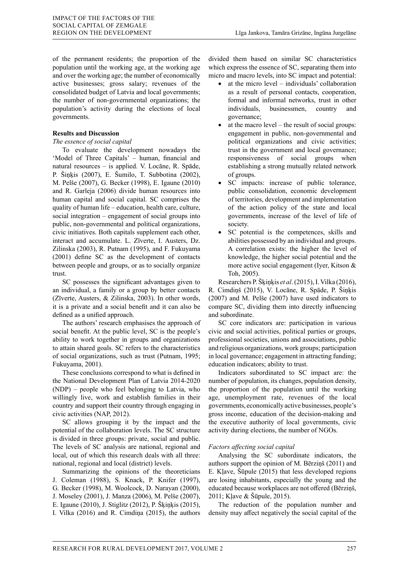of the permanent residents; the proportion of the population until the working age, at the working age and over the working age; the number of economically active businesses; gross salary; revenues of the consolidated budget of Latvia and local governments; the number of non-governmental organizations; the population's activity during the elections of local governments.

## **Results and Discussion**

## *The essence of social capital*

To evaluate the development nowadays the 'Model of Three Capitals' – human, financial and natural resources – is applied. V. Locāne, R. Spāde, P. Šiņķis (2007), E. Šumilo, T. Subbotina (2002), M. Pelše (2007), G. Becker (1998), E. Igaune (2010) and R. Garleja (2006) divide human resources into human capital and social capital. SC comprises the quality of human life – education, health care, culture, social integration – engagement of social groups into public, non-governmental and political organizations, civic initiatives. Both capitals supplement each other, interact and accumulate. L. Zīverte, I. Austers, Dz. Zilinska (2003), R. Putnam (1995), and F. Fukuyama (2001) define SC as the development of contacts between people and groups, or as to socially organize trust.

SC possesses the significant advantages given to an individual, a family or a group by better contacts (Zīverte, Austers, & Zilinska, 2003). In other words, it is a private and a social benefit and it can also be defined as a unified approach.

The authors' research emphasises the approach of social benefit. At the public level, SC is the people's ability to work together in groups and organizations to attain shared goals. SC refers to the characteristics of social organizations, such as trust (Putnam, 1995; Fukuyama, 2001).

These conclusions correspond to what is defined in the National Development Plan of Latvia 2014-2020 (NDP) – people who feel belonging to Latvia, who willingly live, work and establish families in their country and support their country through engaging in civic activities (NAP, 2012).

SC allows grouping it by the impact and the potential of the collaboration levels. The SC structure is divided in three groups: private, social and public. The levels of SC analysis are national, regional and local, out of which this research deals with all three: national, regional and local (district) levels.

Summarizing the opinions of the theoreticians J. Coleman (1988), S. Knack, P. Knifer (1997), G. Becker (1998), M. Woolcock, D. Narayan (2000), J. Moseley (2001), J. Manza (2006), M. Pelše (2007), E. Igaune (2010), J. Stiglitz (2012), P. Šķiņķis (2015), I. Vilka (2016) and R. Cimdiņa (2015), the authors

divided them based on similar SC characteristics which express the essence of SC, separating them into micro and macro levels, into SC impact and potential:

- at the micro level individuals' collaboration as a result of personal contacts, cooperation, formal and informal networks, trust in other individuals, businessmen, country and governance;
- at the macro level the result of social groups: engagement in public, non-governmental and political organizations and civic activities; trust in the government and local governance; responsiveness of social groups when establishing a strong mutually related network of groups.
- SC impacts: increase of public tolerance, public consolidation, economic development of territories, development and implementation of the action policy of the state and local governments, increase of the level of life of society.
- SC potential is the competences, skills and abilities possessed by an individual and groups. A correlation exists: the higher the level of knowledge, the higher social potential and the more active social engagement (Iyer, Kitson & Toh, 2005).

Researchers P. Šķiņķis *et al*. (2015), I.Vilka (2016), R. Cimdiņš (2015), V. Locāne, R. Spāde, P. Šiņķis (2007) and M. Pelše (2007) have used indicators to compare SC, dividing them into directly influencing and subordinate.

SC core indicators are: participation in various civic and social activities, political parties or groups, professional societies, unions and associations, public and religious organizations, work groups; participation in local governance; engagement in attracting funding; education indicators; ability to trust.

Indicators subordinated to SC impact are: the number of population, its changes, population density, the proportion of the population until the working age, unemployment rate, revenues of the local governments, economically active businesses, people's gross income, education of the decision-making and the executive authority of local governments, civic activity during elections, the number of NGOs.

# *Factors affecting social capital*

Analysing the SC subordinate indicators, the authors support the opinion of M. Bērziņš (2011) and E. Kļave, Šūpule (2015) that less developed regions are losing inhabitants, especially the young and the educated because workplaces are not offered (Bērziņš, 2011; Kļave & Šūpule, 2015).

The reduction of the population number and density may affect negatively the social capital of the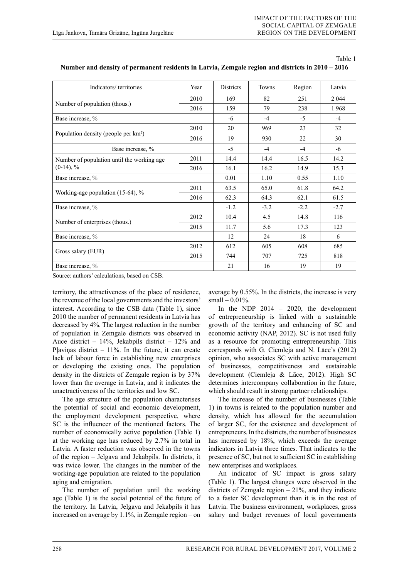Table 1

| Indicators/territories                           | Year | <b>Districts</b> | <b>Towns</b> | Region | Latvia  |
|--------------------------------------------------|------|------------------|--------------|--------|---------|
|                                                  | 2010 | 169              | 82           | 251    | 2 0 4 4 |
| Number of population (thous.)                    | 2016 | 159              | 79           | 238    | 1968    |
| Base increase, %                                 |      | -6               | $-4$         | $-5$   | $-4$    |
|                                                  | 2010 | 20               | 969          | 23     | 32      |
| Population density (people per km <sup>2</sup> ) | 2016 | 19               | 930          | 22     | 30      |
| Base increase, %                                 | $-5$ | $-4$             | $-4$         | -6     |         |
| Number of population until the working age       | 2011 | 14.4             | 14.4         | 16.5   | 14.2    |
| $(0-14)$ , %                                     | 2016 | 16.1             | 16.2         | 14.9   | 15.3    |
| Base increase, %                                 | 0.01 | 1.10             | 0.55         | 1.10   |         |
|                                                  | 2011 | 63.5             | 65.0         | 61.8   | 64.2    |
| Working-age population (15-64), %                | 2016 | 62.3             | 64.3         | 62.1   | 61.5    |
| Base increase, %                                 |      | $-1.2$           | $-3.2$       | $-2.2$ | $-2.7$  |
|                                                  | 2012 | 10.4             | 4.5          | 14.8   | 116     |
| Number of enterprises (thous.)                   | 2015 | 11.7             | 5.6          | 17.3   | 123     |
| Base increase, %                                 | 12   | 24               | 18           | 6      |         |
|                                                  | 2012 | 612              | 605          | 608    | 685     |
| Gross salary (EUR)                               | 2015 | 744              | 707          | 725    | 818     |
| Base increase, %                                 |      | 21               | 16           | 19     | 19      |

|  |  |  | Number and density of permanent residents in Latvia, Zemgale region and districts in 2010 – 2016 |
|--|--|--|--------------------------------------------------------------------------------------------------|
|--|--|--|--------------------------------------------------------------------------------------------------|

Source: authors' calculations, based on CSB.

territory, the attractiveness of the place of residence, the revenue of the local governments and the investors' interest. According to the CSB data (Table 1), since 2010 the number of permanent residents in Latvia has decreased by 4%. The largest reduction in the number of population in Zemgale districts was observed in Auce district – 14%, Jekabpils district – 12% and Pļaviņas district  $-11\%$ . In the future, it can create lack of labour force in establishing new enterprises or developing the existing ones. The population density in the districts of Zemgale region is by 37% lower than the average in Latvia, and it indicates the unactractiveness of the territories and low SC.

The age structure of the population characterises the potential of social and economic development, the employment development perspective, where SC is the influencer of the mentioned factors. The number of economically active population (Table 1) at the working age has reduced by 2.7% in total in Latvia. A faster reduction was observed in the towns of the region – Jelgava and Jekabpils. In districts, it was twice lower. The changes in the number of the working-age population are related to the population aging and emigration.

The number of population until the working age (Table 1) is the social potential of the future of the territory. In Latvia, Jelgava and Jekabpils it has increased on average by 1.1%, in Zemgale region – on

average by 0.55%. In the districts, the increase is very small  $-0.01%$ .

In the NDP 2014 – 2020, the development of entrepreneurship is linked with a sustainable growth of the territory and enhancing of SC and economic activity (NAP, 2012). SC is not used fully as a resource for promoting entrepreneurship. This corresponds with G. Ciemleja and N. Lāce's (2012) opinion, who associates SC with active management of businesses, competitiveness and sustainable development (Ciemleja & Lāce, 2012). High SC determines intercompany collaboration in the future, which should result in strong partner relationships.

The increase of the number of businesses (Table 1) in towns is related to the population number and density, which has allowed for the accumulation of larger SC, for the existence and development of entrepreneurs. In the districts, the number of businesses has increased by 18%, which exceeds the average indicators in Latvia three times. That indicates to the presence of SC, but not to sufficient SC in establishing new enterprises and workplaces.

An indicator of SC impact is gross salary (Table 1). The largest changes were observed in the districts of Zemgale region  $-21\%$ , and they indicate to a faster SC development than it is in the rest of Latvia. The business environment, workplaces, gross salary and budget revenues of local governments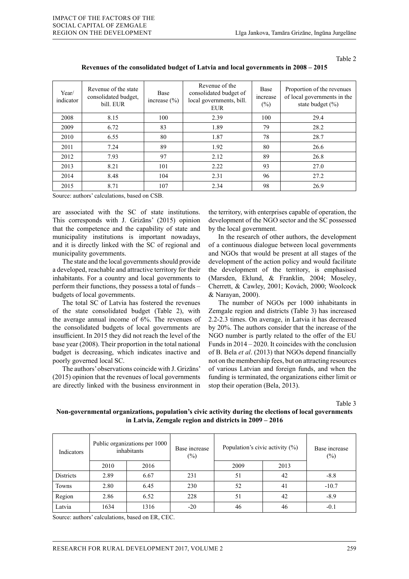Table 2

| Year/<br>indicator | Revenue of the state<br>consolidated budget,<br>bill. EUR | <b>Base</b><br>increase $(\% )$ | Revenue of the<br>consolidated budget of<br>local governments, bill.<br><b>EUR</b> | <b>Base</b><br>increase<br>$(\%)$ | Proportion of the revenues<br>of local governments in the<br>state budget $(\% )$ |
|--------------------|-----------------------------------------------------------|---------------------------------|------------------------------------------------------------------------------------|-----------------------------------|-----------------------------------------------------------------------------------|
| 2008               | 8.15                                                      | 100                             | 2.39                                                                               | 100                               | 29.4                                                                              |
| 2009               | 6.72                                                      | 83                              | 1.89                                                                               | 79                                | 28.2                                                                              |
| 2010               | 6.55                                                      | 80                              | 1.87                                                                               | 78                                | 28.7                                                                              |
| 2011               | 7.24                                                      | 89                              | 1.92                                                                               | 80                                | 26.6                                                                              |
| 2012               | 7.93                                                      | 97                              | 2.12                                                                               | 89                                | 26.8                                                                              |
| 2013               | 8.21                                                      | 101                             | 2.22                                                                               | 93                                | 27.0                                                                              |
| 2014               | 8.48                                                      | 104                             | 2.31                                                                               | 96                                | 27.2                                                                              |
| 2015               | 8.71                                                      | 107                             | 2.34                                                                               | 98                                | 26.9                                                                              |

**Revenues of the consolidated budget of Latvia and local governments in 2008 – 2015**

Source: authors' calculations, based on CSB.

are associated with the SC of state institutions. This corresponds with J. Grizāns' (2015) opinion that the competence and the capability of state and municipality institutions is important nowadays, and it is directly linked with the SC of regional and municipality governments.

The state and the local governments should provide a developed, reachable and attractive territory for their inhabitants. For a country and local governments to perform their functions, they possess a total of funds – budgets of local governments.

The total SC of Latvia has fostered the revenues of the state consolidated budget (Table 2), with the average annual income of 6%. The revenues of the consolidated budgets of local governments are insufficient. In 2015 they did not reach the level of the base year (2008). Their proportion in the total national budget is decreasing, which indicates inactive and poorly governed local SC.

The authors' observations coincide with J. Grizāns' (2015) opinion that the revenues of local governments are directly linked with the business environment in

the territory, with enterprises capable of operation, the development of the NGO sector and the SC possessed by the local government.

In the research of other authors, the development of a continuous dialogue between local governments and NGOs that would be present at all stages of the development of the action policy and would facilitate the development of the territory, is emphasised (Marsden, Eklund, & Franklin, 2004; Moseley, Cherrett, & Cawley, 2001; Kovách, 2000; Woolcock & Narayan, 2000).

The number of NGOs per 1000 inhabitants in Zemgale region and districts (Table 3) has increased 2.2-2.3 times. On average, in Latvia it has decreased by 20%. The authors consider that the increase of the NGO number is partly related to the offer of the EU Funds in 2014 – 2020. It coincides with the conclusion of B. Bela *et al*. (2013) that NGOs depend financially not on the membership fees, but on attracting resources of various Latvian and foreign funds, and when the funding is terminated, the organizations either limit or stop their operation (Bela, 2013).

Table 3

**Non-governmental organizations, population's civic activity during the elections of local governments in Latvia, Zemgale region and districts in 2009 – 2016**

| Indicators       |      | Public organizations per 1000<br>inhabitants | Base increase<br>$(\%)$ | Population's civic activity $(\%)$ |      | Base increase<br>$(\%)$ |
|------------------|------|----------------------------------------------|-------------------------|------------------------------------|------|-------------------------|
|                  | 2010 | 2016                                         |                         | 2009                               | 2013 |                         |
| <b>Districts</b> | 2.89 | 6.67                                         | 231                     | 51                                 | 42   | $-8.8$                  |
| Towns            | 2.80 | 6.45                                         | 230                     | 52                                 | 41   | $-10.7$                 |
| Region           | 2.86 | 6.52                                         | 228                     | 51                                 | 42   | $-8.9$                  |
| Latvia           | 1634 | 1316                                         | $-20$                   | 46                                 | 46   | $-0.1$                  |

Source: authors' calculations, based on ER, CEC.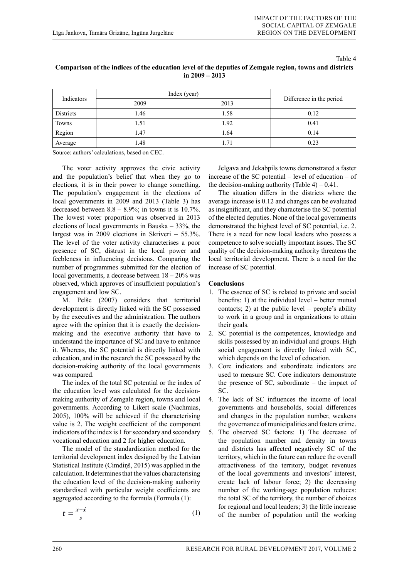Table 4

| Indicators | Index (year) |      |                          |
|------------|--------------|------|--------------------------|
|            | 2009         | 2013 | Difference in the period |
| Districts  | .46          | 1.58 | 0.12                     |
| Towns      | 1.51         | 1.92 | 0.41                     |
| Region     | 1.47         | 1.64 | 0.14                     |
| Average    | 1.48         | 1.71 | 0.23                     |

# **Comparison of the indices of the education level of the deputies of Zemgale region, towns and districts in 2009 – 2013**

Source: authors' calculations, based on CEC.

The voter activity approves the civic activity and the population's belief that when they go to elections, it is in their power to change something. The population's engagement in the elections of local governments in 2009 and 2013 (Table 3) has decreased between  $8.8 - 8.9\%$ ; in towns it is 10.7%. The lowest voter proportion was observed in 2013 elections of local governments in Bauska – 33%, the largest was in 2009 elections in Skriveri – 55.3%. The level of the voter activity characterises a poor presence of SC, distrust in the local power and feebleness in influencing decisions. Comparing the number of programmes submitted for the election of local governments, a decrease between 18 – 20% was observed, which approves of insufficient population's engagement and low SC.

M. Pelše (2007) considers that territorial development is directly linked with the SC possessed by the executives and the administration. The authors agree with the opinion that it is exactly the decision-<br>their g making and the executive authority that have to understand the importance of SC and have to enhance skills populations, it is in the population of the population of the population of the population of the population of the population of the populations, it is in the pop it. Whereas, the SC potential is directly linked with social education, and in the research the SC possessed by the which decision-making authority of the local governments 3. Core in was compared. the voter activity characterises a power presence of SC, distrust in the local power and feebleness in influencing in influencing in influencing in influencing in influencing in influencing in influencing in influencing in

The index of the total SC potential or the index of the programmes submitted for the election of the election of the election of the election of the election of the election of the election of the election of the election the education level was calculated for the decisionmaking authority of Zemgale region, towns and local 4. The la governments. According to Likert scale (Nachmias, agovern 2005), 100% will be achieved if the characterising and ch value is 2. The weight coefficient of the component the government indicators of the index is 1 for secondary and secondary vocational education and 2 for higher education. 
the potential or the state for the state for the state for the state for the state for the state for the state for the state for the state for the state for the state for t

The model of the standardization method for the and di territorial development index designed by the Latvian territor Statistical Institute (Cimdiņš, 2015) was applied in the calculation. It determines that the values characterising of the Institute (Community Community Community Community Community) was applied in the values characterising the education. It determines that the values characterising the education. It determines the education level of the dec and contract the decision-making authority standardised with particular weight coefficients are all numbers aggregated according to the formula (Formula (1):

$$
t = \frac{x - \acute{x}}{s} \tag{1}
$$

Jelgava and Jekabpils towns demonstrated a faster increase of the SC potential – level of education – of the decision-making authority (Table  $4$ ) – 0.41.

The situation differs in the districts where the average increase is 0.12 and changes can be evaluated as insignificant, and they characterise the SC potential of the elected deputies. None of the local governments demonstrated the highest level of SC potential, i.e. 2. There is a need for new local leaders who possess a competence to solve socially important issues. The SC quality of the decision-making authority threatens the local territorial development. There is a need for the increase of SC potential.

## **Conclusions**

- 1. The essence of SC is related to private and social benefits: 1) at the individual level – better mutual contacts; 2) at the public level – people's ability to work in a group and in organizations to attain their goals.
- 2. SC potential is the competences, knowledge and skills possessed by an individual and groups. High social engagement is directly linked with SC, which depends on the level of education.
- 3. Core indicators and subordinate indicators are used to measure SC. Core indicators demonstrate the presence of SC, subordinate – the impact of SC.
- 4. The lack of SC influences the income of local governments and households, social differences and changes in the population number, weakens the governance of municipalities and fosters crime.
- 5. The observed SC factors: 1) The decrease of the population number and density in towns and districts has affected negatively SC of the territory, which in the future can reduce the overall attractiveness of the territory, budget revenues of the local governments and investors' interest, create lack of labour force; 2) the decreasing number of the working-age population reduces: the total SC of the territory, the number of choices for regional and local leaders; 3) the little increase of the number of population until the working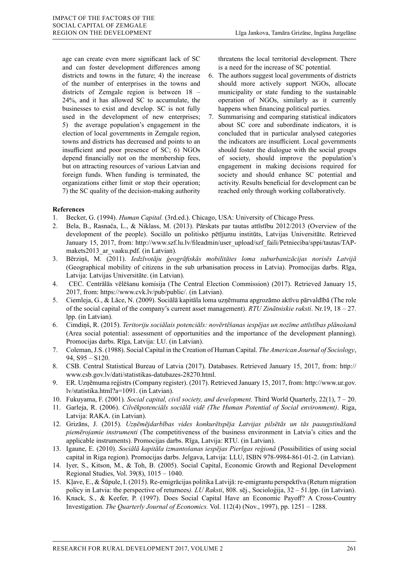age can create even more significant lack of SC and can foster development differences among districts and towns in the future; 4) the increase of the number of enterprises in the towns and districts of Zemgale region is between 18 – 24%, and it has allowed SC to accumulate, the businesses to exist and develop. SC is not fully used in the development of new enterprises; 5) the average population's engagement in the election of local governments in Zemgale region, towns and districts has decreased and points to an insufficient and poor presence of SC; 6) NGOs depend financially not on the membership fees, but on attracting resources of various Latvian and foreign funds. When funding is terminated, the organizations either limit or stop their operation; 7) the SC quality of the decision-making authority threatens the local territorial development. There is a need for the increase of SC potential.

- 6. The authors suggest local governments of districts should more actively support NGOs, allocate municipality or state funding to the sustainable operation of NGOs, similarly as it currently happens when financing political parties.
- 7. Summarising and comparing statistical indicators about SC core and subordinate indicators, it is concluded that in particular analysed categories the indicators are insufficient. Local governments should foster the dialogue with the social groups of society, should improve the population's engagement in making decisions required for society and should enhance SC potential and activity. Results beneficial for development can be reached only through working collaboratively.

## **References**

- 1. Becker, G. (1994). *Human Capital.* (3rd.ed.). Chicago, USA: University of Chicago Press.
- 2. Bela, B., Rasnača, L., & Niklass, M. (2013). Pārskats par tautas attīstību 2012/2013 (Overview of the development of the people). Sociālo un politisko pētījumu institūts, Latvijas Universitāte. Retrieved January 15, 2017, from: http://www.szf.lu.lv/fileadmin/user\_upload/szf\_faili/Petnieciba/sppi/tautas/TAPmakets2013\_ar\_vaaku.pdf. (in Latvian).
- 3. Bērziņš, M. (2011). *Iedzīvotāju ģeogrāfiskās mobilitātes loma suburbanizācijas norisēs Latvijā* (Geographical mobility of citizens in the sub urbanisation process in Latvia). Promocijas darbs. Rīga, Latvija: Latvijas Universitāte. (in Latvian).
- 4. CEC. Centrālās vēlēšanu komisija (The Central Election Commission) (2017). Retrieved January 15, 2017, from: https://www.cvk.lv/pub/public/. (in Latvian).
- 5. Ciemleja, G., & Lāce, N. (2009). Sociālā kapitāla loma uzņēmuma apgrozāmo aktīvu pārvaldībā (The role of the social capital of the company's current asset management). *RTU Zinātniskie raksti*. Nr.19, 18 – 27. lpp. (in Latvian).
- 6. Cimdiņš, R. (2015). *Teritoriju sociālais potenciāls: novērtēšanas iespējas un nozīme attīstības plānošanā* (Area social potential: assessment of opportunities and the importance of the development planning). Promocijas darbs. Rīga, Latvija: LU. (in Latvian).
- 7. Coleman, J.S. (1988). Social Capital in the Creation of Human Capital. *The American Journal of Sociology*, 94, S95 – S120.
- 8. CSB. Central Statistical Bureau of Latvia (2017). Databases. Retrieved January 15, 2017, from: http:// www.csb.gov.lv/dati/statistikas-datubazes-28270.html.
- 9. ER. Uzņēmuma reģistrs (Company register). (2017). Retrieved January 15, 2017, from: http://www.ur.gov. lv/statistika.html?a=1091. (in Latvian).
- 10. Fukuyama, F. (2001)*. Social capital, civil society, and development.* Third World Quarterly, 22(1), 7 20.
- 11. Garleja, R. (2006). *Cilvēkpotenciāls sociālā vidē (The Human Potential of Social environment)*. Riga, Latvija: RAKA. (in Latvian).
- 12. Grizāns, J. (2015). *Uzņēmējdarbības vides konkurētspēja Latvijas pilsētās un tās paaugstināšanā piemērojamie instrumenti* (The competitiveness of the business environment in Latvia's cities and the applicable instruments). Promocijas darbs. Rīga, Latvija: RTU. (in Latvian).
- 13. Igaune, E. (2010). *Sociālā kapitāla izmantošanas iespējas Pierīgas reģionā* (Possibilities of using social capital in Riga region). Promocijas darbs. Jelgava, Latvija: LLU, ISBN 978-9984-861-01-2. (in Latvian).
- 14. Iyer, S., Kitson, M., & Toh, B. (2005). Social Capital, Economic Growth and Regional Development Regional Studies, Vol. 39(8), 1015 – 1040.
- 15. Kļave, E., & Šūpule, I. (2015). Re-emigrācijas politika Latvijā: re-emigrantu perspektīva (Return migration policy in Latvia: the perspective of returnees*). LU Raksti*, 808. sēj., Socioloģija, 32 – 51.lpp. (in Latvian).
- 16. Knack, S., & Keefer, P. (1997). Does Social Capital Have an Economic Payoff? A Cross-Country Investigation. *The Quarterly Journal of Economics.* Vol. 112(4) (Nov., 1997), pp. 1251 – 1288.